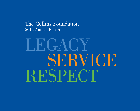# The Collins Foundation 2013 Annual Report

# LEGACY SERVICE RESPECT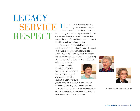# **LEGACY** SERVICE RESPECT

ow does a foundation started by a  $\overline{\phantom{a}}$  family stay true to the philanthropic spirit of its founders, but still remain relevant in a changing world? Since 1947, the Collins family's quest to remain responsive and meaningful has infused the work of The Collins Foundation through transitions, both internal and external. H

Fifty years ago Maribeth Collins stepped in quietly to continue her husband's work as President of The Collins Foundation after his unexpected death. Through half a century of service, she has influenced the character of the Foundation, keeping alive the legacy of her husband, Truman Collins Sr.,

while building her own.

In April, Maribeth transitioned to Trustee Emeritus status. At the same time, her granddaughter, Alayna Luria, joined the Foundation Board, the fourth



generation to serve. The two women sat down recently, along with Cynthia Addams, Executive Vice President, to discuss how the Foundation has evolved to meet the changing needs of Oregon, and how the Founders' mission continues.





Alayna Luria, Maribeth Collins, and Cynthia Addams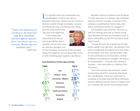*"I have such admiration for everybody on the board and staff. We're individuals and have different opinions, but we can always come to a consensus. We have the most wonderful spirit."* —Maribeth Collins

t's a beautiful winter day. Grandmother and  $\perp$  granddaughter sit next to each other in Maribeth's living room, Cynthia close by. A stand of tall trees is visible through the window, a surprise bit of forest this close in to Portland, but a fitting I t's a beautiful winter day. Grandmother and Maribeth recalls her invitation to join the Board.<br>
"I'd never even been to a meeting. I was completely" (I'd never even been to a meeting. I was completely

reminder of the family's roots. They start at the beginning.

"I have always been astounded by the story of how my grandfather died so suddenly, and you had to pick up, raise your teenagers, and

run the Foundation. And on top of that, you were pregnant! It taught me so much about how to carry on after something tragic happens," says Alayna.

### **Grant Distribution 50 Years Ago and Today**

| 1964          |                            | 2013      |
|---------------|----------------------------|-----------|
| 1%            | Arts                       | 17%       |
| $\frac{1}{2}$ | Children - Youth           | 14%       |
| 3%            | <b>Community - Welfare</b> | 28%       |
| 65%           | <b>Education</b>           | 18%       |
| $\sqrt{9}$    | <b>Environment</b>         | <b>1%</b> |
| $Q\%$         | <b>Health and Science</b>  | 11%       |
| $\%$          | <b>Humanities</b>          |           |
|               | Religion                   |           |
|               |                            |           |

surprised. But then I thought, if I can learn, I'll be carrying on something that Truman really cared about, something he started. So I plunged in."

The Foundation was small then. There was no staff, and meetings were held as needed. During 1964, Maribeth's first year, the Foundation made 34 grants totaling \$181,425. But the Foundation slowly began to grow.

"Through the years we've always had the right person appear at the right time," says Maribeth. Each person brought skills and experience to help shape the Foundation. Over time, each generation made its own contributions to the Foundation, carefully building on its predecessor's strengths. The respect for the generations — of family, staff, and Board members — who came before is a hallmark of the Foundation.

"Each time someone new would join, I would wonder if they would fit in. Somehow, they always did," says Maribeth. "I have such admiration for everybody on the board and staff. We're individuals and have different opinions, but we can always come to a consensus. We have the most wonderful spirit."

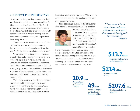## A RESPECT FOR PERSPECTIVE

"Debates can be lively, but they are approached with an attitude of respect, learning, and appreciation for different perspectives," says Cynthia. The Board brings a wide range of experience and interests to the meetings. "But still, it's a family foundation, with a specific approach to decision making: detailed, heart-centered, compassionate, and respectful of those doing the work."

"There seems to be an ethos of communication, collaboration, and respect that has carried on through the generations," says Alayna. "From the start I've felt like I could say what was on my mind."

Alayna comes to the Board with a background in grantwriting and a master's in social work, along with some experience in making grants. Still, like Maribeth, her invitation was relatively unexpected. Shortly after Alayna and her wife moved to Portland in 2004, Alayna's uncle, Truman Collins Jr., invited her to become a Member of the Foundation. At first she was slow to get involved, busy caring for her own young children.

"Then I had a moment where I decided, because I have small children, I really want to be more involved in the family and the Foundation," says Alayna. "For me, that meant finding someone to watch the children so I could be present at all-day

Foundation meetings and convenings." She began to prepare for and attend all the meetings and, in April 2013, became a Trustee.

"Since becoming a Trustee, I feel like I have more of an 'official' place at the table. Still, I'm humbled



by the amount of experience in the other Trustees. I can see that I have a lot to learn and look forward to that," she says. Smooth transitions are a trademark of the Foundation's

board. Maribeth's niece, Lee

Diane Collins Vest, was the last newcomer to the Board before Alayna. She, too, participated and learned before becoming a Trustee eight years ago. The average tenure for Trustees is over 20 years: Founding Trustee Grace Goudy's term was just a few months shorter than Maribeth's 49 years.

*"There seems to be an ethos of communication, collaboration, and respect that has carried on through the generations."* —Alayna Luria

> **\$13.7million** Founders' contributions to the Foundation

**\$214 million** Assets at the end

of 2013 **20.9years** Average tenure of Foundation Trustees **49years**

Tenure of longest serving Trustee, Maribeth Collins

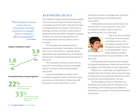*"The Foundation continues to learn from its environment and adapt its practices accordingly – both are essential to effective grantmaking."* —Cynthia Addams

#### **Oregon's Population Growth**



#### **Growing Diversity in Young Oregonians**

**22%** People of color in the overall population

> **33%** People of color under age 18 in the overall population

# AN EVOLVING LEGACY

This stability has helped the Board weather volatility in the economy and respond to trends impacting communities around the state. Today there are twice as many people living in Oregon as there were 50 years ago, and they come from a wider variety of backgrounds than ever before. Foundations working to address the needs and opportunities of an increasingly diverse state are called to serve in new ways.

"The Foundation has always focused on underserved communities," says Alayna. "But today there is even more interest in culturally specific organizations and organizations that are working to become more culturally responsive and inclusive in their work."

"The Foundation continues to learn from its environment and adapt its practices accordingly both are essential to effective grantmaking," says Cynthia.

Increased knowledge has resulted in the Foundation bringing the values of diversity, equity, and inclusion to the forefront of Board and staff discussions in recent years. Since 2011 the

Foundation has been increasingly more intentional about making grants to underrepresented communities.

Understanding new issues and learning to see the world from a new perspective is key to the Foundation's evolution. Alayna credits her grandmother with a lot of this spirit.



"She is just very committed to learning, and that has been a leading force for us. The Foundation has given a lot of first grants to places." She turns to her grandmother. "You're always taking new things in

and incorporating them into your worldview. I think that's rare."

Understanding and learning are also important to the grantmaking process. Alayna was struck by the due diligence and detail given to each organization.

"Whether it's a really small, new organization or a nonprofit with a lot of history, where it would be easy to rubberstamp it, the staff works effectively to make sure we have a full understanding," she says.

The due diligence process is meticulous and respectful. Each Trustee reads the full proposal. At the meetings, staff members provide additional information from research, community conversations, and site visits.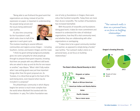"Being able to see firsthand the good work that organizations are doing, instead of just the expression on paper, is important in understanding

the people being served and the issues being addressed," says Cynthia.

It's also time consuming for the Foundation's staff which visits close to half of the agencies in each grant cycle.



This involves traveling to several different communities and regions across Oregon — including Southern, Central, and Eastern Oregon and the Coast.

"I think my grant-writing background probably gives me some sympathy for what people go through to prepare these grant requests, knowing that there are people with very different skill levels who are asked to step up and do this for one reason or another," says Alayna. "What I didn't fully realize when I was writing grants was just how important things other than the grant proposal are. As Trustees, it is critical that we get to the heart of the work being done, even beyond what may be included in a proposal."

The philanthropic community in which Alayna begins her service is much more complex than the world where Maribeth first worked with the Foundation. In 1964 The Collins Foundation was

one of only 55 foundations in Oregon; there were only a few hundred nonprofits. Today there are more than 18,000 nonprofits. The number of foundations has increased twentyfold.

With thousands of nonprofits and foundations doing good work, it takes far more commitment and research to understand the roles of individual organizations, how they fill a vital community need, and whether they are collaborating with other organizations or overlapping.

"It takes time to be a good community member and partner, as opposed to simply being a funder," says Cynthia. "Our outreach really is done on a personal basis, as we focus on building relationships."



**The State's Ethnic/Racial Diversity in 2012**

*"Our outreach really is done on a personal basis, as we focus on building relationships."* —Cynthia Addams

#### **Oregon's Growing Diversity**



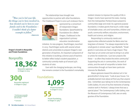*"How you've led your life, the things you've been involved in, how devoted you've been to your family and to the Foundation – I couldn't think of a better example to follow."* —Alayna Luria

#### **Oregon's Growth in Nonprofits and Private Foundations**



**300** Nonprofits registered in Oregon in 1964\*

> \* *The first year nonprofits were required to register with the State*

\*\* Estimated

The relationships have brought new opportunities to partner with other foundations. The Chalkboard Project is one such endeavor that is



sponsored by a consortium of independent Oregon foundations. Spearheaded by Foundations for a Better Oregon, Chalkboard is the organization's primary education transformation

initiative. Its new program, TeachOregon, launched in 2013. TeachOregon works with several school districts and universities to prepare Oregon's next generation of teachers. An important component of this initiative is building a diverse pool of teachers to better reflect today's student population, a community currently made up of around 35% students of color.

Even with the changing landscape, one thing that remains constant is the Foundation's remarkably

# Foundations

**55 1,095** Private foundations in Oregon in 2013

Private foundations in Oregon in 1964\*\*

resilient mission to improve the quality of life in Oregon. Grants have spanned the state, moving from the metropolitan Portland base outward to communities large and small. As a general-purpose foundation, it makes grants that touch a wide range of charitable areas: arts and humanities; children and youth; community welfare; education; environment; health and science; and religion.

Responding to community needs and opportunities reflected outside the Metro area has long been of interest. "I've always responded to the small grants in remote areas," says Maribeth. "Small grants in rural areas can have a huge impact. They may have an art center and want to bring in an artist or artists for residencies. I just love projects like these  $-$  so often they involve the entire community." Supporting the arts in communities, the work of artists, and the work of nonprofits to better their communities through art have been particular interests for Maribeth.

Alayna gestures toward the abstract art in her grandmother's living room. "Look at your house. I've probably learned more about art from you than anyone else. I remember your taking me to the Contemporary Crafts Gallery. It's one of my first memories of seeing creative work in Portland. I always knew that was a special place." The Contemporary Crafts Gallery, now the Museum of Contemporary Craft, was an early grantee of the Foundation.